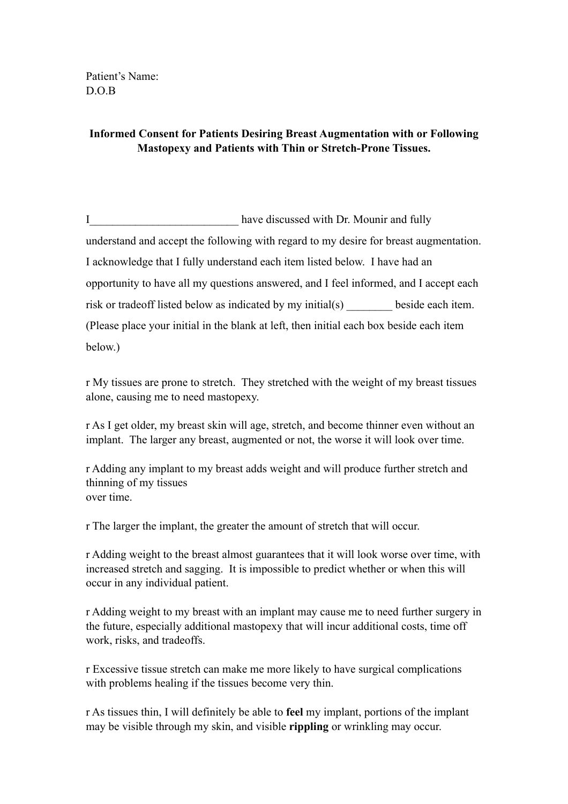Patient's Name: D.O.B

## **Informed Consent for Patients Desiring Breast Augmentation with or Following Mastopexy and Patients with Thin or Stretch-Prone Tissues.**

I have discussed with Dr. Mounir and fully understand and accept the following with regard to my desire for breast augmentation. I acknowledge that I fully understand each item listed below. I have had an opportunity to have all my questions answered, and I feel informed, and I accept each risk or tradeoff listed below as indicated by my initial(s) beside each item. (Please place your initial in the blank at left, then initial each box beside each item below.)

r My tissues are prone to stretch. They stretched with the weight of my breast tissues alone, causing me to need mastopexy.

r As I get older, my breast skin will age, stretch, and become thinner even without an implant. The larger any breast, augmented or not, the worse it will look over time.

r Adding any implant to my breast adds weight and will produce further stretch and thinning of my tissues over time.

r The larger the implant, the greater the amount of stretch that will occur.

r Adding weight to the breast almost guarantees that it will look worse over time, with increased stretch and sagging. It is impossible to predict whether or when this will occur in any individual patient.

r Adding weight to my breast with an implant may cause me to need further surgery in the future, especially additional mastopexy that will incur additional costs, time off work, risks, and tradeoffs.

r Excessive tissue stretch can make me more likely to have surgical complications with problems healing if the tissues become very thin.

r As tissues thin, I will definitely be able to **feel** my implant, portions of the implant may be visible through my skin, and visible **rippling** or wrinkling may occur.